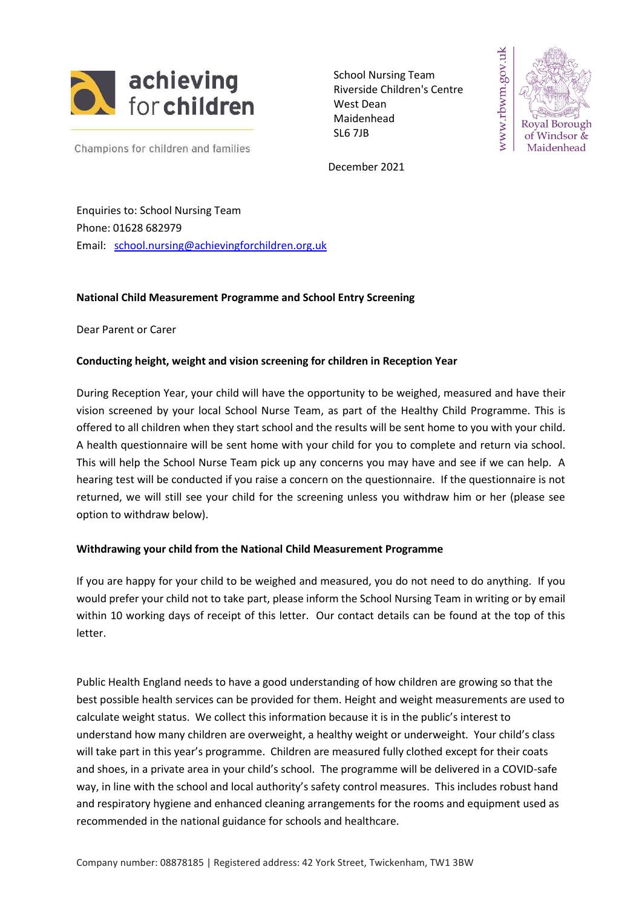

School Nursing Team Riverside Children's Centre West Dean Maidenhead SL6 7JB



Champions for children and families

December 2021

Enquiries to: School Nursing Team Phone: 01628 682979 Email: [school.nursing@achievingforchildren.org.uk](mailto:school.nursing@achievingforchildren.org.uk)

# **National Child Measurement Programme and School Entry Screening**

Dear Parent or Carer

# **Conducting height, weight and vision screening for children in Reception Year**

During Reception Year, your child will have the opportunity to be weighed, measured and have their vision screened by your local School Nurse Team, as part of the Healthy Child Programme. This is offered to all children when they start school and the results will be sent home to you with your child. A health questionnaire will be sent home with your child for you to complete and return via school. This will help the School Nurse Team pick up any concerns you may have and see if we can help. A hearing test will be conducted if you raise a concern on the questionnaire. If the questionnaire is not returned, we will still see your child for the screening unless you withdraw him or her (please see option to withdraw below).

### **Withdrawing your child from the National Child Measurement Programme**

If you are happy for your child to be weighed and measured, you do not need to do anything. If you would prefer your child not to take part, please inform the School Nursing Team in writing or by email within 10 working days of receipt of this letter. Our contact details can be found at the top of this letter.

Public Health England needs to have a good understanding of how children are growing so that the best possible health services can be provided for them. Height and weight measurements are used to calculate weight status. We collect this information because it is in the public's interest to understand how many children are overweight, a healthy weight or underweight. Your child's class will take part in this year's programme. Children are measured fully clothed except for their coats and shoes, in a private area in your child's school. The programme will be delivered in a COVID-safe way, in line with the school and local authority's safety control measures. This includes robust hand and respiratory hygiene and enhanced cleaning arrangements for the rooms and equipment used as recommended in the national guidance for schools and healthcare.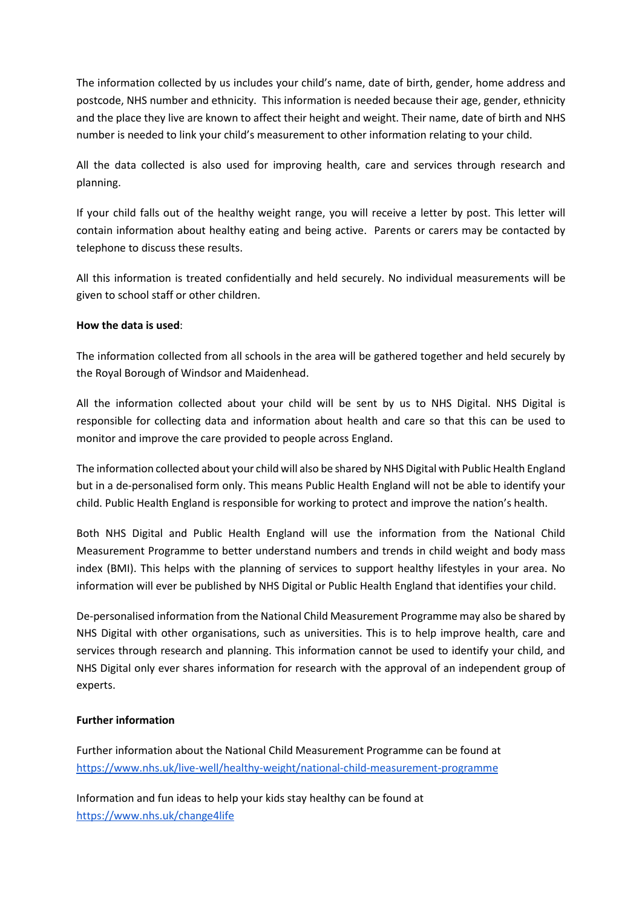The information collected by us includes your child's name, date of birth, gender, home address and postcode, NHS number and ethnicity. This information is needed because their age, gender, ethnicity and the place they live are known to affect their height and weight. Their name, date of birth and NHS number is needed to link your child's measurement to other information relating to your child.

All the data collected is also used for improving health, care and services through research and planning.

If your child falls out of the healthy weight range, you will receive a letter by post. This letter will contain information about healthy eating and being active. Parents or carers may be contacted by telephone to discuss these results.

All this information is treated confidentially and held securely. No individual measurements will be given to school staff or other children.

# **How the data is used**:

The information collected from all schools in the area will be gathered together and held securely by the Royal Borough of Windsor and Maidenhead.

All the information collected about your child will be sent by us to NHS Digital. NHS Digital is responsible for collecting data and information about health and care so that this can be used to monitor and improve the care provided to people across England.

The information collected about your child will also be shared by NHS Digital with Public Health England but in a de-personalised form only. This means Public Health England will not be able to identify your child. Public Health England is responsible for working to protect and improve the nation's health.

Both NHS Digital and Public Health England will use the information from the National Child Measurement Programme to better understand numbers and trends in child weight and body mass index (BMI). This helps with the planning of services to support healthy lifestyles in your area. No information will ever be published by NHS Digital or Public Health England that identifies your child.

De-personalised information from the National Child Measurement Programme may also be shared by NHS Digital with other organisations, such as universities. This is to help improve health, care and services through research and planning. This information cannot be used to identify your child, and NHS Digital only ever shares information for research with the approval of an independent group of experts.

# **Further information**

Further information about the National Child Measurement Programme can be found a[t](https://www.nhs.uk/live-well/healthy-weight/national-child-measurement-programme/) [https://www.nhs.uk/live-well/healthy-weight/national-child-measurement-programme](https://www.nhs.uk/live-well/healthy-weight/national-child-measurement-programme/)

Information and fun ideas to help your kids stay healthy can be found a[t](https://www.nhs.uk/change4life) <https://www.nhs.uk/change4life>